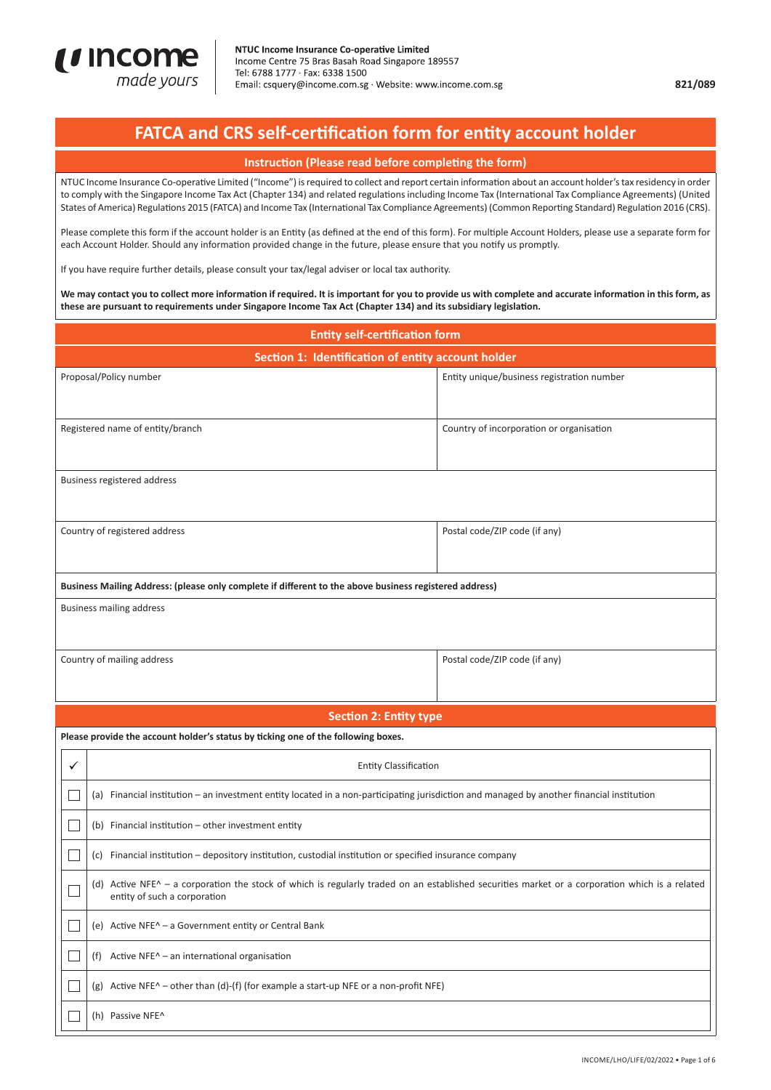

## **FATCA and CRS self-certification form for entity account holder**

## **Instruction (Please read before completing the form)**

NTUC Income Insurance Co-operative Limited ("Income") is required to collect and report certain information about an account holder's tax residency in order to comply with the Singapore Income Tax Act (Chapter 134) and related regulations including Income Tax (International Tax Compliance Agreements) (United States of America) Regulations 2015 (FATCA) and Income Tax (International Tax Compliance Agreements) (Common Reporting Standard) Regulation 2016 (CRS).

Please complete this form if the account holder is an Entity (as defined at the end of this form). For multiple Account Holders, please use a separate form for each Account Holder. Should any information provided change in the future, please ensure that you notify us promptly.

If you have require further details, please consult your tax/legal adviser or local tax authority.

We may contact you to collect more information if required. It is important for you to provide us with complete and accurate information in this form, as **these are pursuant to requirements under Singapore Income Tax Act (Chapter 134) and its subsidiary legislation.**

| <b>Entity self-certification form</b>                                        |                                                                                                                                                                                |  |  |
|------------------------------------------------------------------------------|--------------------------------------------------------------------------------------------------------------------------------------------------------------------------------|--|--|
| Section 1: Identification of entity account holder                           |                                                                                                                                                                                |  |  |
| Proposal/Policy number<br>Entity unique/business registration number         |                                                                                                                                                                                |  |  |
| Registered name of entity/branch<br>Country of incorporation or organisation |                                                                                                                                                                                |  |  |
| Business registered address                                                  |                                                                                                                                                                                |  |  |
|                                                                              | Country of registered address<br>Postal code/ZIP code (if any)                                                                                                                 |  |  |
|                                                                              | Business Mailing Address: (please only complete if different to the above business registered address)                                                                         |  |  |
| <b>Business mailing address</b>                                              |                                                                                                                                                                                |  |  |
|                                                                              | Country of mailing address<br>Postal code/ZIP code (if any)                                                                                                                    |  |  |
|                                                                              | <b>Section 2: Entity type</b>                                                                                                                                                  |  |  |
|                                                                              | Please provide the account holder's status by ticking one of the following boxes.                                                                                              |  |  |
| ✓                                                                            | <b>Entity Classification</b>                                                                                                                                                   |  |  |
|                                                                              | (a) Financial institution - an investment entity located in a non-participating jurisdiction and managed by another financial institution                                      |  |  |
|                                                                              | (b) Financial institution - other investment entity                                                                                                                            |  |  |
|                                                                              | (c) Financial institution - depository institution, custodial institution or specified insurance company                                                                       |  |  |
|                                                                              | (d) Active NFE^ - a corporation the stock of which is regularly traded on an established securities market or a corporation which is a related<br>entity of such a corporation |  |  |
|                                                                              | (e) Active NFE <sup>^</sup> - a Government entity or Central Bank                                                                                                              |  |  |
|                                                                              | (f) Active NFE <sup>^</sup> - an international organisation                                                                                                                    |  |  |
|                                                                              | (g) Active NFE^-other than (d)-(f) (for example a start-up NFE or a non-profit NFE)                                                                                            |  |  |
|                                                                              | (h) Passive NFE^                                                                                                                                                               |  |  |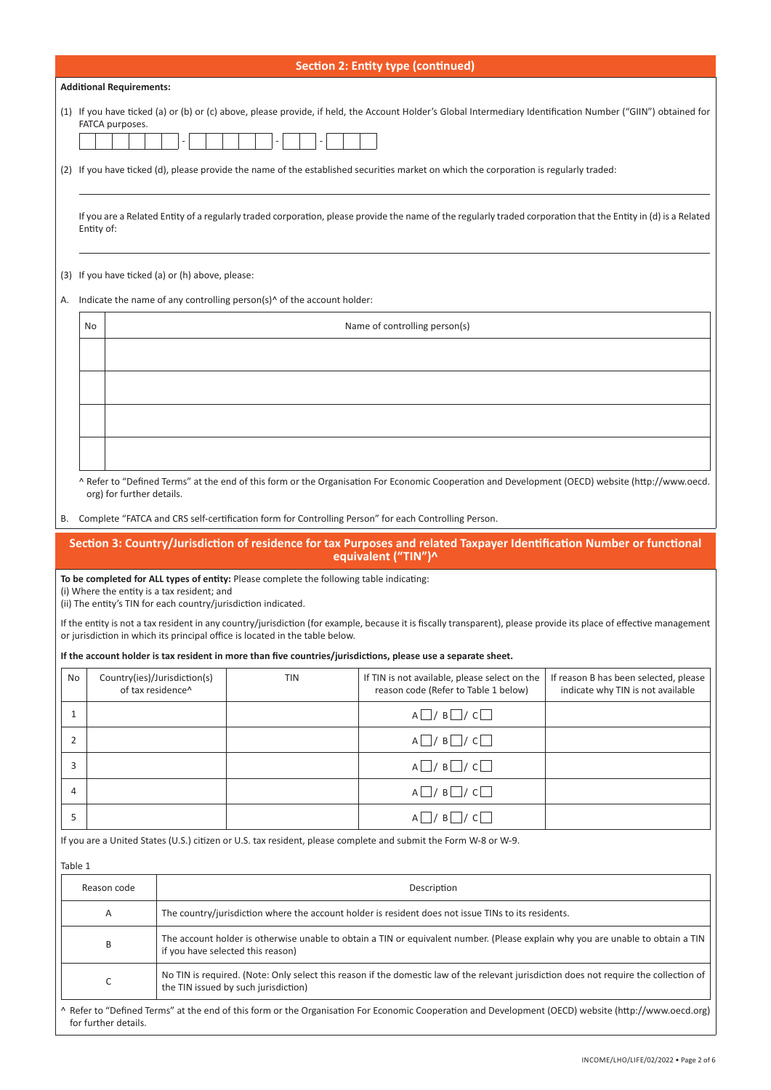| <b>Additional Requirements:</b><br>(1) If you have ticked (a) or (b) or (c) above, please provide, if held, the Account Holder's Global Intermediary Identification Number ("GIIN") obtained for<br>FATCA purposes.<br>(2) If you have ticked (d), please provide the name of the established securities market on which the corporation is regularly traded:<br>If you are a Related Entity of a regularly traded corporation, please provide the name of the regularly traded corporation that the Entity in (d) is a Related<br>Entity of:<br>(3) If you have ticked (a) or (h) above, please:<br>Indicate the name of any controlling person(s)^ of the account holder:<br>А.<br>Name of controlling person(s)<br>No<br>^ Refer to "Defined Terms" at the end of this form or the Organisation For Economic Cooperation and Development (OECD) website (http://www.oecd.<br>org) for further details.<br>Complete "FATCA and CRS self-certification form for Controlling Person" for each Controlling Person.<br>В.<br>Section 3: Country/Jurisdiction of residence for tax Purposes and related Taxpayer Identification Number or functional<br>equivalent ("TIN")^<br>To be completed for ALL types of entity: Please complete the following table indicating:<br>(i) Where the entity is a tax resident; and<br>(ii) The entity's TIN for each country/jurisdiction indicated.<br>If the entity is not a tax resident in any country/jurisdiction (for example, because it is fiscally transparent), please provide its place of effective management<br>or jurisdiction in which its principal office is located in the table below.<br>If the account holder is tax resident in more than five countries/jurisdictions, please use a separate sheet.<br>If reason B has been selected, please<br>Country(ies)/Jurisdiction(s)<br><b>TIN</b><br>If TIN is not available, please select on the<br>No<br>of tax residence <sup>^</sup><br>reason code (Refer to Table 1 below)<br>indicate why TIN is not available<br>$A \Box / B \Box / C \Box$<br>$\mathbf{1}$<br>$A \Box / B \Box / C \Box$<br>2<br>$A \Box / B \Box / C \Box$<br>3<br>$A \Box / B \Box / C \Box$<br>4<br>$A \Box / B \Box / C \Box$<br>5<br>If you are a United States (U.S.) citizen or U.S. tax resident, please complete and submit the Form W-8 or W-9.<br>Table 1<br>Reason code<br>Description<br>The country/jurisdiction where the account holder is resident does not issue TINs to its residents.<br>Α<br>The account holder is otherwise unable to obtain a TIN or equivalent number. (Please explain why you are unable to obtain a TIN<br>В<br>if you have selected this reason)<br>No TIN is required. (Note: Only select this reason if the domestic law of the relevant jurisdiction does not require the collection of<br>C<br>the TIN issued by such jurisdiction)<br>A Refer to "Defined Terms" at the end of this form or the Organisation For Economic Cooperation and Development (OECD) website (http://www.oecd.org)<br>for further details. |  | <b>Section 2: Entity type (continued)</b> |  |  |  |  |
|-------------------------------------------------------------------------------------------------------------------------------------------------------------------------------------------------------------------------------------------------------------------------------------------------------------------------------------------------------------------------------------------------------------------------------------------------------------------------------------------------------------------------------------------------------------------------------------------------------------------------------------------------------------------------------------------------------------------------------------------------------------------------------------------------------------------------------------------------------------------------------------------------------------------------------------------------------------------------------------------------------------------------------------------------------------------------------------------------------------------------------------------------------------------------------------------------------------------------------------------------------------------------------------------------------------------------------------------------------------------------------------------------------------------------------------------------------------------------------------------------------------------------------------------------------------------------------------------------------------------------------------------------------------------------------------------------------------------------------------------------------------------------------------------------------------------------------------------------------------------------------------------------------------------------------------------------------------------------------------------------------------------------------------------------------------------------------------------------------------------------------------------------------------------------------------------------------------------------------------------------------------------------------------------------------------------------------------------------------------------------------------------------------------------------------------------------------------------------------------------------------------------------------------------------------------------------------------------------------------------------------------------------------------------------------------------------------------------------------------------------------------------------------------------------------------------------------------------------------------------------------------------------------------------------------------------------------------------------------------------------------------------------------------------------|--|-------------------------------------------|--|--|--|--|
|                                                                                                                                                                                                                                                                                                                                                                                                                                                                                                                                                                                                                                                                                                                                                                                                                                                                                                                                                                                                                                                                                                                                                                                                                                                                                                                                                                                                                                                                                                                                                                                                                                                                                                                                                                                                                                                                                                                                                                                                                                                                                                                                                                                                                                                                                                                                                                                                                                                                                                                                                                                                                                                                                                                                                                                                                                                                                                                                                                                                                                                 |  |                                           |  |  |  |  |
|                                                                                                                                                                                                                                                                                                                                                                                                                                                                                                                                                                                                                                                                                                                                                                                                                                                                                                                                                                                                                                                                                                                                                                                                                                                                                                                                                                                                                                                                                                                                                                                                                                                                                                                                                                                                                                                                                                                                                                                                                                                                                                                                                                                                                                                                                                                                                                                                                                                                                                                                                                                                                                                                                                                                                                                                                                                                                                                                                                                                                                                 |  |                                           |  |  |  |  |
|                                                                                                                                                                                                                                                                                                                                                                                                                                                                                                                                                                                                                                                                                                                                                                                                                                                                                                                                                                                                                                                                                                                                                                                                                                                                                                                                                                                                                                                                                                                                                                                                                                                                                                                                                                                                                                                                                                                                                                                                                                                                                                                                                                                                                                                                                                                                                                                                                                                                                                                                                                                                                                                                                                                                                                                                                                                                                                                                                                                                                                                 |  |                                           |  |  |  |  |
|                                                                                                                                                                                                                                                                                                                                                                                                                                                                                                                                                                                                                                                                                                                                                                                                                                                                                                                                                                                                                                                                                                                                                                                                                                                                                                                                                                                                                                                                                                                                                                                                                                                                                                                                                                                                                                                                                                                                                                                                                                                                                                                                                                                                                                                                                                                                                                                                                                                                                                                                                                                                                                                                                                                                                                                                                                                                                                                                                                                                                                                 |  |                                           |  |  |  |  |
|                                                                                                                                                                                                                                                                                                                                                                                                                                                                                                                                                                                                                                                                                                                                                                                                                                                                                                                                                                                                                                                                                                                                                                                                                                                                                                                                                                                                                                                                                                                                                                                                                                                                                                                                                                                                                                                                                                                                                                                                                                                                                                                                                                                                                                                                                                                                                                                                                                                                                                                                                                                                                                                                                                                                                                                                                                                                                                                                                                                                                                                 |  |                                           |  |  |  |  |
|                                                                                                                                                                                                                                                                                                                                                                                                                                                                                                                                                                                                                                                                                                                                                                                                                                                                                                                                                                                                                                                                                                                                                                                                                                                                                                                                                                                                                                                                                                                                                                                                                                                                                                                                                                                                                                                                                                                                                                                                                                                                                                                                                                                                                                                                                                                                                                                                                                                                                                                                                                                                                                                                                                                                                                                                                                                                                                                                                                                                                                                 |  |                                           |  |  |  |  |
|                                                                                                                                                                                                                                                                                                                                                                                                                                                                                                                                                                                                                                                                                                                                                                                                                                                                                                                                                                                                                                                                                                                                                                                                                                                                                                                                                                                                                                                                                                                                                                                                                                                                                                                                                                                                                                                                                                                                                                                                                                                                                                                                                                                                                                                                                                                                                                                                                                                                                                                                                                                                                                                                                                                                                                                                                                                                                                                                                                                                                                                 |  |                                           |  |  |  |  |
|                                                                                                                                                                                                                                                                                                                                                                                                                                                                                                                                                                                                                                                                                                                                                                                                                                                                                                                                                                                                                                                                                                                                                                                                                                                                                                                                                                                                                                                                                                                                                                                                                                                                                                                                                                                                                                                                                                                                                                                                                                                                                                                                                                                                                                                                                                                                                                                                                                                                                                                                                                                                                                                                                                                                                                                                                                                                                                                                                                                                                                                 |  |                                           |  |  |  |  |
|                                                                                                                                                                                                                                                                                                                                                                                                                                                                                                                                                                                                                                                                                                                                                                                                                                                                                                                                                                                                                                                                                                                                                                                                                                                                                                                                                                                                                                                                                                                                                                                                                                                                                                                                                                                                                                                                                                                                                                                                                                                                                                                                                                                                                                                                                                                                                                                                                                                                                                                                                                                                                                                                                                                                                                                                                                                                                                                                                                                                                                                 |  |                                           |  |  |  |  |
|                                                                                                                                                                                                                                                                                                                                                                                                                                                                                                                                                                                                                                                                                                                                                                                                                                                                                                                                                                                                                                                                                                                                                                                                                                                                                                                                                                                                                                                                                                                                                                                                                                                                                                                                                                                                                                                                                                                                                                                                                                                                                                                                                                                                                                                                                                                                                                                                                                                                                                                                                                                                                                                                                                                                                                                                                                                                                                                                                                                                                                                 |  |                                           |  |  |  |  |
|                                                                                                                                                                                                                                                                                                                                                                                                                                                                                                                                                                                                                                                                                                                                                                                                                                                                                                                                                                                                                                                                                                                                                                                                                                                                                                                                                                                                                                                                                                                                                                                                                                                                                                                                                                                                                                                                                                                                                                                                                                                                                                                                                                                                                                                                                                                                                                                                                                                                                                                                                                                                                                                                                                                                                                                                                                                                                                                                                                                                                                                 |  |                                           |  |  |  |  |
|                                                                                                                                                                                                                                                                                                                                                                                                                                                                                                                                                                                                                                                                                                                                                                                                                                                                                                                                                                                                                                                                                                                                                                                                                                                                                                                                                                                                                                                                                                                                                                                                                                                                                                                                                                                                                                                                                                                                                                                                                                                                                                                                                                                                                                                                                                                                                                                                                                                                                                                                                                                                                                                                                                                                                                                                                                                                                                                                                                                                                                                 |  |                                           |  |  |  |  |
|                                                                                                                                                                                                                                                                                                                                                                                                                                                                                                                                                                                                                                                                                                                                                                                                                                                                                                                                                                                                                                                                                                                                                                                                                                                                                                                                                                                                                                                                                                                                                                                                                                                                                                                                                                                                                                                                                                                                                                                                                                                                                                                                                                                                                                                                                                                                                                                                                                                                                                                                                                                                                                                                                                                                                                                                                                                                                                                                                                                                                                                 |  |                                           |  |  |  |  |
|                                                                                                                                                                                                                                                                                                                                                                                                                                                                                                                                                                                                                                                                                                                                                                                                                                                                                                                                                                                                                                                                                                                                                                                                                                                                                                                                                                                                                                                                                                                                                                                                                                                                                                                                                                                                                                                                                                                                                                                                                                                                                                                                                                                                                                                                                                                                                                                                                                                                                                                                                                                                                                                                                                                                                                                                                                                                                                                                                                                                                                                 |  |                                           |  |  |  |  |
|                                                                                                                                                                                                                                                                                                                                                                                                                                                                                                                                                                                                                                                                                                                                                                                                                                                                                                                                                                                                                                                                                                                                                                                                                                                                                                                                                                                                                                                                                                                                                                                                                                                                                                                                                                                                                                                                                                                                                                                                                                                                                                                                                                                                                                                                                                                                                                                                                                                                                                                                                                                                                                                                                                                                                                                                                                                                                                                                                                                                                                                 |  |                                           |  |  |  |  |
|                                                                                                                                                                                                                                                                                                                                                                                                                                                                                                                                                                                                                                                                                                                                                                                                                                                                                                                                                                                                                                                                                                                                                                                                                                                                                                                                                                                                                                                                                                                                                                                                                                                                                                                                                                                                                                                                                                                                                                                                                                                                                                                                                                                                                                                                                                                                                                                                                                                                                                                                                                                                                                                                                                                                                                                                                                                                                                                                                                                                                                                 |  |                                           |  |  |  |  |
|                                                                                                                                                                                                                                                                                                                                                                                                                                                                                                                                                                                                                                                                                                                                                                                                                                                                                                                                                                                                                                                                                                                                                                                                                                                                                                                                                                                                                                                                                                                                                                                                                                                                                                                                                                                                                                                                                                                                                                                                                                                                                                                                                                                                                                                                                                                                                                                                                                                                                                                                                                                                                                                                                                                                                                                                                                                                                                                                                                                                                                                 |  |                                           |  |  |  |  |
|                                                                                                                                                                                                                                                                                                                                                                                                                                                                                                                                                                                                                                                                                                                                                                                                                                                                                                                                                                                                                                                                                                                                                                                                                                                                                                                                                                                                                                                                                                                                                                                                                                                                                                                                                                                                                                                                                                                                                                                                                                                                                                                                                                                                                                                                                                                                                                                                                                                                                                                                                                                                                                                                                                                                                                                                                                                                                                                                                                                                                                                 |  |                                           |  |  |  |  |
|                                                                                                                                                                                                                                                                                                                                                                                                                                                                                                                                                                                                                                                                                                                                                                                                                                                                                                                                                                                                                                                                                                                                                                                                                                                                                                                                                                                                                                                                                                                                                                                                                                                                                                                                                                                                                                                                                                                                                                                                                                                                                                                                                                                                                                                                                                                                                                                                                                                                                                                                                                                                                                                                                                                                                                                                                                                                                                                                                                                                                                                 |  |                                           |  |  |  |  |
|                                                                                                                                                                                                                                                                                                                                                                                                                                                                                                                                                                                                                                                                                                                                                                                                                                                                                                                                                                                                                                                                                                                                                                                                                                                                                                                                                                                                                                                                                                                                                                                                                                                                                                                                                                                                                                                                                                                                                                                                                                                                                                                                                                                                                                                                                                                                                                                                                                                                                                                                                                                                                                                                                                                                                                                                                                                                                                                                                                                                                                                 |  |                                           |  |  |  |  |
|                                                                                                                                                                                                                                                                                                                                                                                                                                                                                                                                                                                                                                                                                                                                                                                                                                                                                                                                                                                                                                                                                                                                                                                                                                                                                                                                                                                                                                                                                                                                                                                                                                                                                                                                                                                                                                                                                                                                                                                                                                                                                                                                                                                                                                                                                                                                                                                                                                                                                                                                                                                                                                                                                                                                                                                                                                                                                                                                                                                                                                                 |  |                                           |  |  |  |  |
|                                                                                                                                                                                                                                                                                                                                                                                                                                                                                                                                                                                                                                                                                                                                                                                                                                                                                                                                                                                                                                                                                                                                                                                                                                                                                                                                                                                                                                                                                                                                                                                                                                                                                                                                                                                                                                                                                                                                                                                                                                                                                                                                                                                                                                                                                                                                                                                                                                                                                                                                                                                                                                                                                                                                                                                                                                                                                                                                                                                                                                                 |  |                                           |  |  |  |  |
|                                                                                                                                                                                                                                                                                                                                                                                                                                                                                                                                                                                                                                                                                                                                                                                                                                                                                                                                                                                                                                                                                                                                                                                                                                                                                                                                                                                                                                                                                                                                                                                                                                                                                                                                                                                                                                                                                                                                                                                                                                                                                                                                                                                                                                                                                                                                                                                                                                                                                                                                                                                                                                                                                                                                                                                                                                                                                                                                                                                                                                                 |  |                                           |  |  |  |  |
|                                                                                                                                                                                                                                                                                                                                                                                                                                                                                                                                                                                                                                                                                                                                                                                                                                                                                                                                                                                                                                                                                                                                                                                                                                                                                                                                                                                                                                                                                                                                                                                                                                                                                                                                                                                                                                                                                                                                                                                                                                                                                                                                                                                                                                                                                                                                                                                                                                                                                                                                                                                                                                                                                                                                                                                                                                                                                                                                                                                                                                                 |  |                                           |  |  |  |  |
|                                                                                                                                                                                                                                                                                                                                                                                                                                                                                                                                                                                                                                                                                                                                                                                                                                                                                                                                                                                                                                                                                                                                                                                                                                                                                                                                                                                                                                                                                                                                                                                                                                                                                                                                                                                                                                                                                                                                                                                                                                                                                                                                                                                                                                                                                                                                                                                                                                                                                                                                                                                                                                                                                                                                                                                                                                                                                                                                                                                                                                                 |  |                                           |  |  |  |  |
|                                                                                                                                                                                                                                                                                                                                                                                                                                                                                                                                                                                                                                                                                                                                                                                                                                                                                                                                                                                                                                                                                                                                                                                                                                                                                                                                                                                                                                                                                                                                                                                                                                                                                                                                                                                                                                                                                                                                                                                                                                                                                                                                                                                                                                                                                                                                                                                                                                                                                                                                                                                                                                                                                                                                                                                                                                                                                                                                                                                                                                                 |  |                                           |  |  |  |  |
|                                                                                                                                                                                                                                                                                                                                                                                                                                                                                                                                                                                                                                                                                                                                                                                                                                                                                                                                                                                                                                                                                                                                                                                                                                                                                                                                                                                                                                                                                                                                                                                                                                                                                                                                                                                                                                                                                                                                                                                                                                                                                                                                                                                                                                                                                                                                                                                                                                                                                                                                                                                                                                                                                                                                                                                                                                                                                                                                                                                                                                                 |  |                                           |  |  |  |  |
|                                                                                                                                                                                                                                                                                                                                                                                                                                                                                                                                                                                                                                                                                                                                                                                                                                                                                                                                                                                                                                                                                                                                                                                                                                                                                                                                                                                                                                                                                                                                                                                                                                                                                                                                                                                                                                                                                                                                                                                                                                                                                                                                                                                                                                                                                                                                                                                                                                                                                                                                                                                                                                                                                                                                                                                                                                                                                                                                                                                                                                                 |  |                                           |  |  |  |  |
|                                                                                                                                                                                                                                                                                                                                                                                                                                                                                                                                                                                                                                                                                                                                                                                                                                                                                                                                                                                                                                                                                                                                                                                                                                                                                                                                                                                                                                                                                                                                                                                                                                                                                                                                                                                                                                                                                                                                                                                                                                                                                                                                                                                                                                                                                                                                                                                                                                                                                                                                                                                                                                                                                                                                                                                                                                                                                                                                                                                                                                                 |  |                                           |  |  |  |  |
|                                                                                                                                                                                                                                                                                                                                                                                                                                                                                                                                                                                                                                                                                                                                                                                                                                                                                                                                                                                                                                                                                                                                                                                                                                                                                                                                                                                                                                                                                                                                                                                                                                                                                                                                                                                                                                                                                                                                                                                                                                                                                                                                                                                                                                                                                                                                                                                                                                                                                                                                                                                                                                                                                                                                                                                                                                                                                                                                                                                                                                                 |  |                                           |  |  |  |  |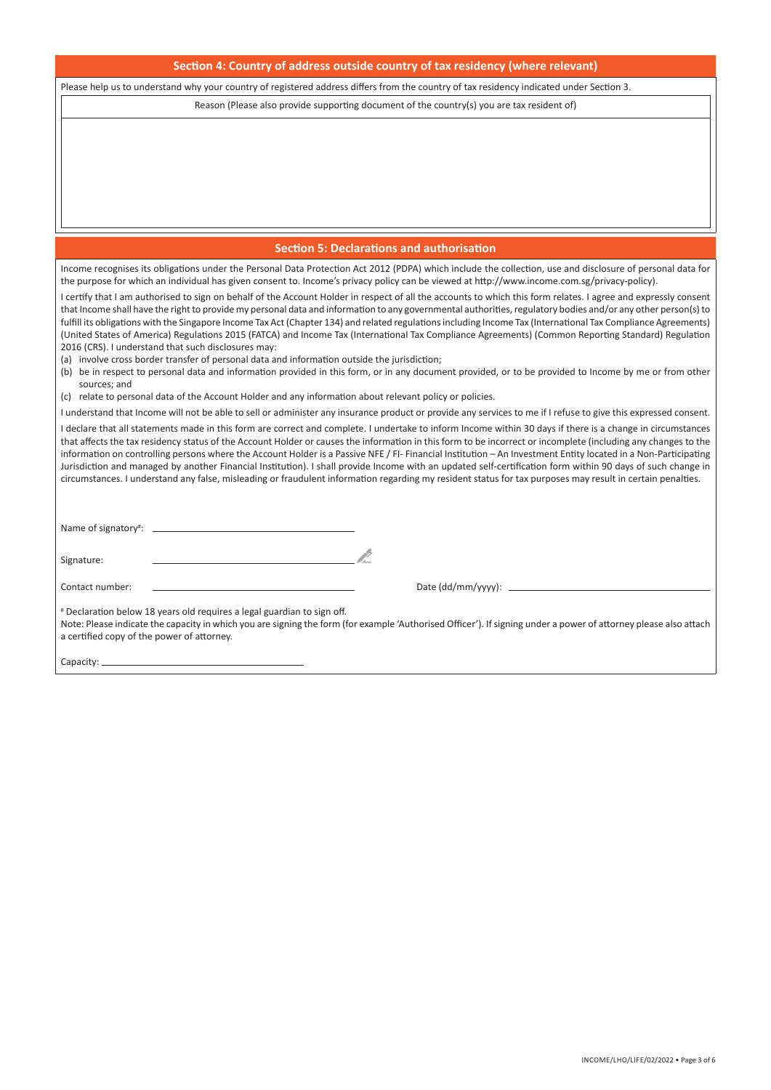| Section 4: Country of address outside country of tax residency (where relevant) |  |
|---------------------------------------------------------------------------------|--|
|                                                                                 |  |

Please help us to understand why your country of registered address differs from the country of tax residency indicated under Section 3.

Reason (Please also provide supporting document of the country(s) you are tax resident of)

## **Section 5: Declarations and authorisation**

Income recognises its obligations under the Personal Data Protection Act 2012 (PDPA) which include the collection, use and disclosure of personal data for the purpose for which an individual has given consent to. Income's privacy policy can be viewed at http://www.income.com.sg/privacy-policy).

I certify that I am authorised to sign on behalf of the Account Holder in respect of all the accounts to which this form relates. I agree and expressly consent that Income shall have the right to provide my personal data and information to any governmental authorities, regulatory bodies and/or any other person(s) to fulfill its obligations with the Singapore Income Tax Act (Chapter 134) and related regulations including Income Tax (International Tax Compliance Agreements) (United States of America) Regulations 2015 (FATCA) and Income Tax (International Tax Compliance Agreements) (Common Reporting Standard) Regulation 2016 (CRS). I understand that such disclosures may:

(a) involve cross border transfer of personal data and information outside the jurisdiction;

(b) be in respect to personal data and information provided in this form, or in any document provided, or to be provided to Income by me or from other sources; and

(c) relate to personal data of the Account Holder and any information about relevant policy or policies.

I understand that Income will not be able to sell or administer any insurance product or provide any services to me if I refuse to give this expressed consent. I declare that all statements made in this form are correct and complete. I undertake to inform Income within 30 days if there is a change in circumstances that affects the tax residency status of the Account Holder or causes the information in this form to be incorrect or incomplete (including any changes to the information on controlling persons where the Account Holder is a Passive NFE / FI- Financial Institution – An Investment Entity located in a Non-Participating Jurisdiction and managed by another Financial Institution). I shall provide Income with an updated self-certification form within 90 days of such change in

circumstances. I understand any false, misleading or fraudulent information regarding my resident status for tax purposes may result in certain penalties.

Name of signatory#:

Signature:

Contact number: Date (dd/mm/yyyy):

# Declaration below 18 years old requires a legal guardian to sign off.

Note: Please indicate the capacity in which you are signing the form (for example 'Authorised Officer'). If signing under a power of attorney please also attach a certified copy of the power of attorney.

Capacity: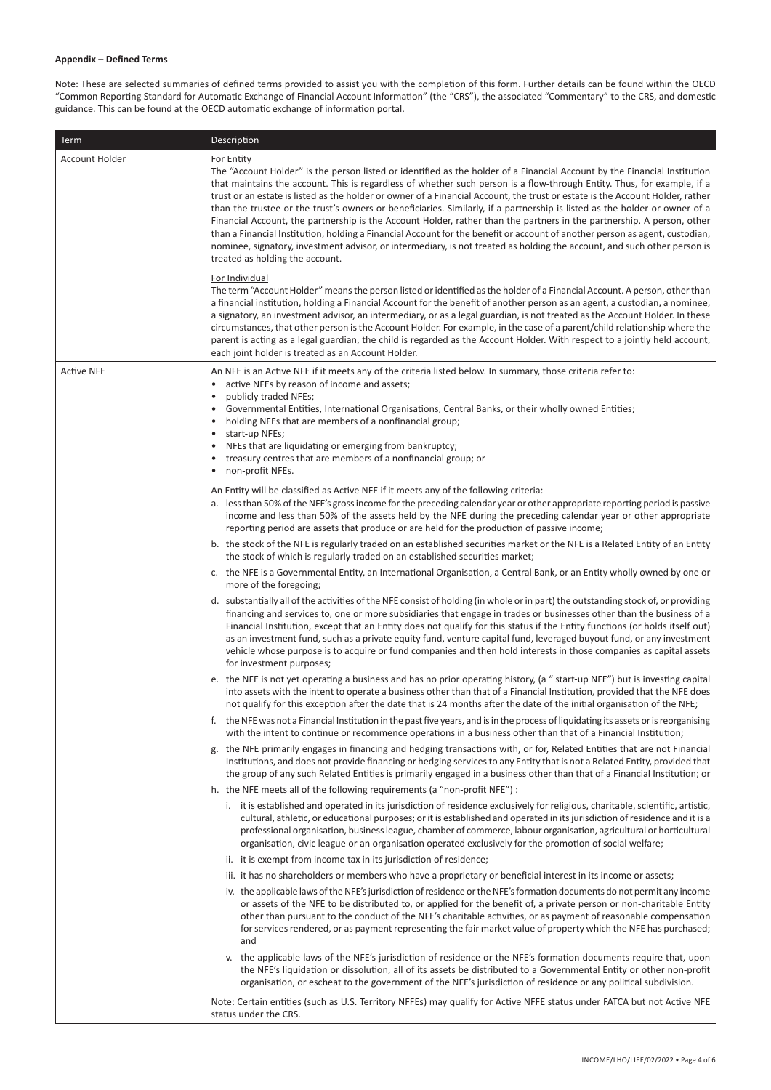## **Appendix – Defined Terms**

Note: These are selected summaries of defined terms provided to assist you with the completion of this form. Further details can be found within the OECD "Common Reporting Standard for Automatic Exchange of Financial Account Information" (the "CRS"), the associated "Commentary" to the CRS, and domestic guidance. This can be found at the OECD automatic exchange of information portal.

| Term                  | Description                                                                                                                                                                                                                                                                                                                                                                                                                                                                                                                                                                                                                                                                                                                                                                                                                                                                                                                                                      |
|-----------------------|------------------------------------------------------------------------------------------------------------------------------------------------------------------------------------------------------------------------------------------------------------------------------------------------------------------------------------------------------------------------------------------------------------------------------------------------------------------------------------------------------------------------------------------------------------------------------------------------------------------------------------------------------------------------------------------------------------------------------------------------------------------------------------------------------------------------------------------------------------------------------------------------------------------------------------------------------------------|
| <b>Account Holder</b> | <b>For Entity</b><br>The "Account Holder" is the person listed or identified as the holder of a Financial Account by the Financial Institution<br>that maintains the account. This is regardless of whether such person is a flow-through Entity. Thus, for example, if a<br>trust or an estate is listed as the holder or owner of a Financial Account, the trust or estate is the Account Holder, rather<br>than the trustee or the trust's owners or beneficiaries. Similarly, if a partnership is listed as the holder or owner of a<br>Financial Account, the partnership is the Account Holder, rather than the partners in the partnership. A person, other<br>than a Financial Institution, holding a Financial Account for the benefit or account of another person as agent, custodian,<br>nominee, signatory, investment advisor, or intermediary, is not treated as holding the account, and such other person is<br>treated as holding the account. |
|                       | For Individual<br>The term "Account Holder" means the person listed or identified as the holder of a Financial Account. A person, other than<br>a financial institution, holding a Financial Account for the benefit of another person as an agent, a custodian, a nominee,<br>a signatory, an investment advisor, an intermediary, or as a legal guardian, is not treated as the Account Holder. In these<br>circumstances, that other person is the Account Holder. For example, in the case of a parent/child relationship where the<br>parent is acting as a legal guardian, the child is regarded as the Account Holder. With respect to a jointly held account,<br>each joint holder is treated as an Account Holder.                                                                                                                                                                                                                                      |
| <b>Active NFE</b>     | An NFE is an Active NFE if it meets any of the criteria listed below. In summary, those criteria refer to:<br>active NFEs by reason of income and assets;<br>$\bullet$<br>publicly traded NFEs;<br>$\bullet$<br>• Governmental Entities, International Organisations, Central Banks, or their wholly owned Entities;<br>• holding NFEs that are members of a nonfinancial group;<br>start-up NFEs;<br>• NFEs that are liquidating or emerging from bankruptcy;<br>• treasury centres that are members of a nonfinancial group; or<br>• non-profit NFEs.                                                                                                                                                                                                                                                                                                                                                                                                          |
|                       | An Entity will be classified as Active NFE if it meets any of the following criteria:<br>a. less than 50% of the NFE's gross income for the preceding calendar year or other appropriate reporting period is passive<br>income and less than 50% of the assets held by the NFE during the preceding calendar year or other appropriate<br>reporting period are assets that produce or are held for the production of passive income;                                                                                                                                                                                                                                                                                                                                                                                                                                                                                                                             |
|                       | b. the stock of the NFE is regularly traded on an established securities market or the NFE is a Related Entity of an Entity<br>the stock of which is regularly traded on an established securities market;                                                                                                                                                                                                                                                                                                                                                                                                                                                                                                                                                                                                                                                                                                                                                       |
|                       | c. the NFE is a Governmental Entity, an International Organisation, a Central Bank, or an Entity wholly owned by one or<br>more of the foregoing;                                                                                                                                                                                                                                                                                                                                                                                                                                                                                                                                                                                                                                                                                                                                                                                                                |
|                       | d. substantially all of the activities of the NFE consist of holding (in whole or in part) the outstanding stock of, or providing<br>financing and services to, one or more subsidiaries that engage in trades or businesses other than the business of a<br>Financial Institution, except that an Entity does not qualify for this status if the Entity functions (or holds itself out)<br>as an investment fund, such as a private equity fund, venture capital fund, leveraged buyout fund, or any investment<br>vehicle whose purpose is to acquire or fund companies and then hold interests in those companies as capital assets<br>for investment purposes;                                                                                                                                                                                                                                                                                               |
|                       | e. the NFE is not yet operating a business and has no prior operating history, (a " start-up NFE") but is investing capital<br>into assets with the intent to operate a business other than that of a Financial Institution, provided that the NFE does<br>not qualify for this exception after the date that is 24 months after the date of the initial organisation of the NFE;                                                                                                                                                                                                                                                                                                                                                                                                                                                                                                                                                                                |
|                       | f. the NFE was not a Financial Institution in the past five years, and is in the process of liquidating its assets or is reorganising<br>with the intent to continue or recommence operations in a business other than that of a Financial Institution;                                                                                                                                                                                                                                                                                                                                                                                                                                                                                                                                                                                                                                                                                                          |
|                       | g. the NFE primarily engages in financing and hedging transactions with, or for, Related Entities that are not Financial<br>Institutions, and does not provide financing or hedging services to any Entity that is not a Related Entity, provided that<br>the group of any such Related Entities is primarily engaged in a business other than that of a Financial Institution; or                                                                                                                                                                                                                                                                                                                                                                                                                                                                                                                                                                               |
|                       | h. the NFE meets all of the following requirements (a "non-profit NFE") :                                                                                                                                                                                                                                                                                                                                                                                                                                                                                                                                                                                                                                                                                                                                                                                                                                                                                        |
|                       | i. it is established and operated in its jurisdiction of residence exclusively for religious, charitable, scientific, artistic,<br>cultural, athletic, or educational purposes; or it is established and operated in its jurisdiction of residence and it is a<br>professional organisation, business league, chamber of commerce, labour organisation, agricultural or horticultural<br>organisation, civic league or an organisation operated exclusively for the promotion of social welfare;<br>ii. it is exempt from income tax in its jurisdiction of residence;                                                                                                                                                                                                                                                                                                                                                                                           |
|                       | iii. it has no shareholders or members who have a proprietary or beneficial interest in its income or assets;                                                                                                                                                                                                                                                                                                                                                                                                                                                                                                                                                                                                                                                                                                                                                                                                                                                    |
|                       | iv. the applicable laws of the NFE's jurisdiction of residence or the NFE's formation documents do not permit any income<br>or assets of the NFE to be distributed to, or applied for the benefit of, a private person or non-charitable Entity<br>other than pursuant to the conduct of the NFE's charitable activities, or as payment of reasonable compensation<br>for services rendered, or as payment representing the fair market value of property which the NFE has purchased;<br>and                                                                                                                                                                                                                                                                                                                                                                                                                                                                    |
|                       | v. the applicable laws of the NFE's jurisdiction of residence or the NFE's formation documents require that, upon<br>the NFE's liquidation or dissolution, all of its assets be distributed to a Governmental Entity or other non-profit<br>organisation, or escheat to the government of the NFE's jurisdiction of residence or any political subdivision.                                                                                                                                                                                                                                                                                                                                                                                                                                                                                                                                                                                                      |
|                       | Note: Certain entities (such as U.S. Territory NFFEs) may qualify for Active NFFE status under FATCA but not Active NFE<br>status under the CRS.                                                                                                                                                                                                                                                                                                                                                                                                                                                                                                                                                                                                                                                                                                                                                                                                                 |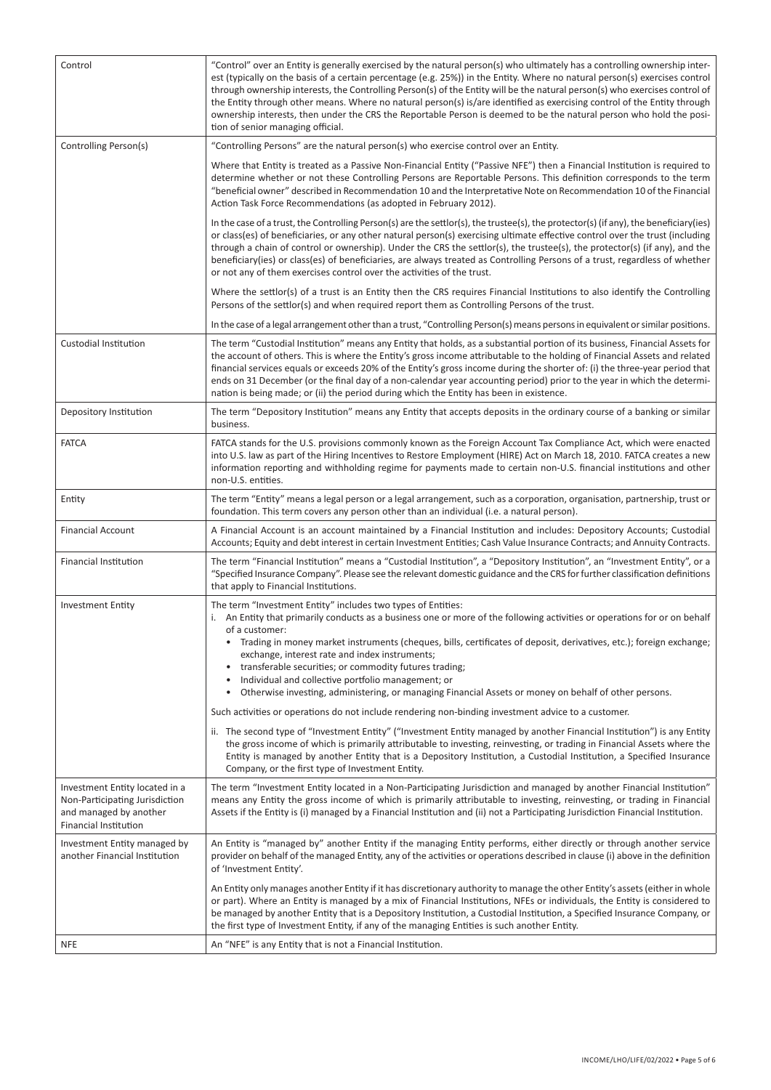| Control                                                                                                                    | "Control" over an Entity is generally exercised by the natural person(s) who ultimately has a controlling ownership inter-<br>est (typically on the basis of a certain percentage (e.g. 25%)) in the Entity. Where no natural person(s) exercises control<br>through ownership interests, the Controlling Person(s) of the Entity will be the natural person(s) who exercises control of<br>the Entity through other means. Where no natural person(s) is/are identified as exercising control of the Entity through<br>ownership interests, then under the CRS the Reportable Person is deemed to be the natural person who hold the posi-<br>tion of senior managing official.                                                              |
|----------------------------------------------------------------------------------------------------------------------------|-----------------------------------------------------------------------------------------------------------------------------------------------------------------------------------------------------------------------------------------------------------------------------------------------------------------------------------------------------------------------------------------------------------------------------------------------------------------------------------------------------------------------------------------------------------------------------------------------------------------------------------------------------------------------------------------------------------------------------------------------|
| Controlling Person(s)                                                                                                      | "Controlling Persons" are the natural person(s) who exercise control over an Entity.                                                                                                                                                                                                                                                                                                                                                                                                                                                                                                                                                                                                                                                          |
|                                                                                                                            | Where that Entity is treated as a Passive Non-Financial Entity ("Passive NFE") then a Financial Institution is required to<br>determine whether or not these Controlling Persons are Reportable Persons. This definition corresponds to the term<br>"beneficial owner" described in Recommendation 10 and the Interpretative Note on Recommendation 10 of the Financial<br>Action Task Force Recommendations (as adopted in February 2012).                                                                                                                                                                                                                                                                                                   |
|                                                                                                                            | In the case of a trust, the Controlling Person(s) are the settlor(s), the trustee(s), the protector(s) (if any), the beneficiary(ies)<br>or class(es) of beneficiaries, or any other natural person(s) exercising ultimate effective control over the trust (including<br>through a chain of control or ownership). Under the CRS the settlor(s), the trustee(s), the protector(s) (if any), and the<br>beneficiary(ies) or class(es) of beneficiaries, are always treated as Controlling Persons of a trust, regardless of whether<br>or not any of them exercises control over the activities of the trust.                                                                                                                                 |
|                                                                                                                            | Where the settlor(s) of a trust is an Entity then the CRS requires Financial Institutions to also identify the Controlling<br>Persons of the settlor(s) and when required report them as Controlling Persons of the trust.                                                                                                                                                                                                                                                                                                                                                                                                                                                                                                                    |
|                                                                                                                            | In the case of a legal arrangement other than a trust, "Controlling Person(s) means persons in equivalent or similar positions.                                                                                                                                                                                                                                                                                                                                                                                                                                                                                                                                                                                                               |
| Custodial Institution                                                                                                      | The term "Custodial Institution" means any Entity that holds, as a substantial portion of its business, Financial Assets for<br>the account of others. This is where the Entity's gross income attributable to the holding of Financial Assets and related<br>financial services equals or exceeds 20% of the Entity's gross income during the shorter of: (i) the three-year period that<br>ends on 31 December (or the final day of a non-calendar year accounting period) prior to the year in which the determi-<br>nation is being made; or (ii) the period during which the Entity has been in existence.                                                                                                                               |
| Depository Institution                                                                                                     | The term "Depository Institution" means any Entity that accepts deposits in the ordinary course of a banking or similar<br>business.                                                                                                                                                                                                                                                                                                                                                                                                                                                                                                                                                                                                          |
| <b>FATCA</b>                                                                                                               | FATCA stands for the U.S. provisions commonly known as the Foreign Account Tax Compliance Act, which were enacted<br>into U.S. law as part of the Hiring Incentives to Restore Employment (HIRE) Act on March 18, 2010. FATCA creates a new<br>information reporting and withholding regime for payments made to certain non-U.S. financial institutions and other<br>non-U.S. entities.                                                                                                                                                                                                                                                                                                                                                      |
| Entity                                                                                                                     | The term "Entity" means a legal person or a legal arrangement, such as a corporation, organisation, partnership, trust or<br>foundation. This term covers any person other than an individual (i.e. a natural person).                                                                                                                                                                                                                                                                                                                                                                                                                                                                                                                        |
| <b>Financial Account</b>                                                                                                   | A Financial Account is an account maintained by a Financial Institution and includes: Depository Accounts; Custodial<br>Accounts; Equity and debt interest in certain Investment Entities; Cash Value Insurance Contracts; and Annuity Contracts.                                                                                                                                                                                                                                                                                                                                                                                                                                                                                             |
| <b>Financial Institution</b>                                                                                               | The term "Financial Institution" means a "Custodial Institution", a "Depository Institution", an "Investment Entity", or a<br>"Specified Insurance Company". Please see the relevant domestic guidance and the CRS for further classification definitions<br>that apply to Financial Institutions.                                                                                                                                                                                                                                                                                                                                                                                                                                            |
| <b>Investment Entity</b>                                                                                                   | The term "Investment Entity" includes two types of Entities:<br>i. An Entity that primarily conducts as a business one or more of the following activities or operations for or on behalf<br>of a customer:<br>• Trading in money market instruments (cheques, bills, certificates of deposit, derivatives, etc.); foreign exchange;<br>exchange, interest rate and index instruments;<br>transferable securities; or commodity futures trading;<br>٠<br>Individual and collective portfolio management; or<br>$\bullet$<br>Otherwise investing, administering, or managing Financial Assets or money on behalf of other persons.<br>٠<br>Such activities or operations do not include rendering non-binding investment advice to a customer. |
|                                                                                                                            | ii. The second type of "Investment Entity" ("Investment Entity managed by another Financial Institution") is any Entity<br>the gross income of which is primarily attributable to investing, reinvesting, or trading in Financial Assets where the<br>Entity is managed by another Entity that is a Depository Institution, a Custodial Institution, a Specified Insurance<br>Company, or the first type of Investment Entity.                                                                                                                                                                                                                                                                                                                |
| Investment Entity located in a<br>Non-Participating Jurisdiction<br>and managed by another<br><b>Financial Institution</b> | The term "Investment Entity located in a Non-Participating Jurisdiction and managed by another Financial Institution"<br>means any Entity the gross income of which is primarily attributable to investing, reinvesting, or trading in Financial<br>Assets if the Entity is (i) managed by a Financial Institution and (ii) not a Participating Jurisdiction Financial Institution.                                                                                                                                                                                                                                                                                                                                                           |
| Investment Entity managed by<br>another Financial Institution                                                              | An Entity is "managed by" another Entity if the managing Entity performs, either directly or through another service<br>provider on behalf of the managed Entity, any of the activities or operations described in clause (i) above in the definition<br>of 'Investment Entity'.                                                                                                                                                                                                                                                                                                                                                                                                                                                              |
|                                                                                                                            | An Entity only manages another Entity if it has discretionary authority to manage the other Entity's assets (either in whole<br>or part). Where an Entity is managed by a mix of Financial Institutions, NFEs or individuals, the Entity is considered to<br>be managed by another Entity that is a Depository Institution, a Custodial Institution, a Specified Insurance Company, or<br>the first type of Investment Entity, if any of the managing Entities is such another Entity.                                                                                                                                                                                                                                                        |
| <b>NFE</b>                                                                                                                 | An "NFE" is any Entity that is not a Financial Institution.                                                                                                                                                                                                                                                                                                                                                                                                                                                                                                                                                                                                                                                                                   |